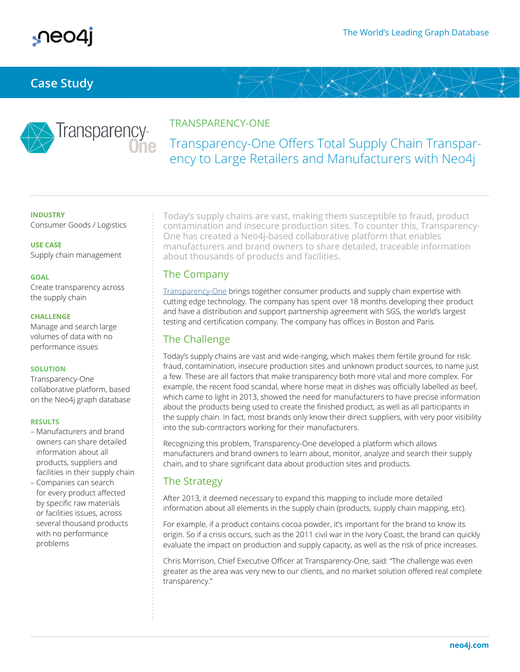

## **Case Study**



### TRANSPARENCY-ONE

# Transparency-One Offers Total Supply Chain Transparency to Large Retailers and Manufacturers with Neo4j

#### **INDUSTRY**

Consumer Goods / Logistics

**USE CASE** Supply chain management

#### **GOAL**

Create transparency across the supply chain

#### **CHALLENGE**

Manage and search large volumes of data with no performance issues

#### **SOLUTION**

Transparency-One collaborative platform, based on the Neo4j graph database

#### **RESULTS**

- Manufacturers and brand owners can share detailed information about all products, suppliers and facilities in their supply chain
- Companies can search for every product affected by specific raw materials or facilities issues, across several thousand products with no performance problems

Today's supply chains are vast, making them susceptible to fraud, product contamination and insecure production sites. To counter this, Transparency-One has created a Neo4j-based collaborative platform that enables manufacturers and brand owners to share detailed, traceable information about thousands of products and facilities.

### The Company

Transparency-One brings together consumer products and supply chain expertise with cutting edge technology. The company has spent over 18 months developing their product and have a distribution and support partnership agreement with SGS, the world's largest testing and certification company. The company has offices in Boston and Paris.

### The Challenge

Today's supply chains are vast and wide-ranging, which makes them fertile ground for risk: fraud, contamination, insecure production sites and unknown product sources, to name just a few. These are all factors that make transparency both more vital and more complex. For example, the recent food scandal, where horse meat in dishes was officially labelled as beef, which came to light in 2013, showed the need for manufacturers to have precise information about the products being used to create the finished product, as well as all participants in the supply chain. In fact, most brands only know their direct suppliers, with very poor visibility into the sub-contractors working for their manufacturers.

Recognizing this problem, Transparency-One developed a platform which allows manufacturers and brand owners to learn about, monitor, analyze and search their supply chain, and to share significant data about production sites and products.

### The Strategy

After 2013, it deemed necessary to expand this mapping to include more detailed information about all elements in the supply chain (products, supply chain mapping, etc).

For example, if a product contains cocoa powder, it's important for the brand to know its origin. So if a crisis occurs, such as the 2011 civil war in the Ivory Coast, the brand can quickly evaluate the impact on production and supply capacity, as well as the risk of price increases.

Chris Morrison, Chief Executive Officer at Transparency-One, said: "The challenge was even greater as the area was very new to our clients, and no market solution offered real complete transparency."